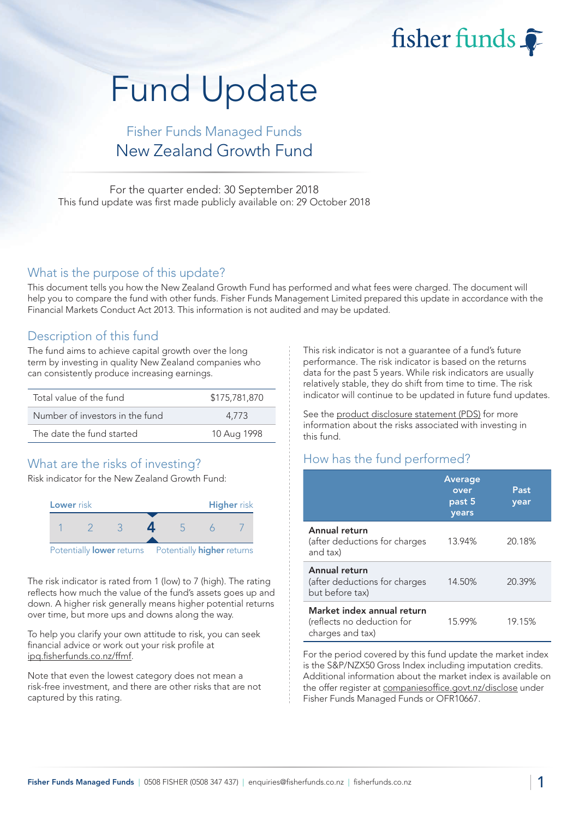fisher funds

# Fund Update

## Fisher Funds Managed Funds New Zealand Growth Fund

For the quarter ended: 30 September 2018 This fund update was first made publicly available on: 29 October 2018

#### What is the purpose of this update?

This document tells you how the New Zealand Growth Fund has performed and what fees were charged. The document will help you to compare the fund with other funds. Fisher Funds Management Limited prepared this update in accordance with the Financial Markets Conduct Act 2013. This information is not audited and may be updated.

## Description of this fund

The fund aims to achieve capital growth over the long term by investing in quality New Zealand companies who can consistently produce increasing earnings.

| Total value of the fund         | \$175,781,870 |
|---------------------------------|---------------|
| Number of investors in the fund | 4.773         |
| The date the fund started       | 10 Aug 1998   |

## What are the risks of investing?

Risk indicator for the New Zealand Growth Fund:



The risk indicator is rated from 1 (low) to 7 (high). The rating reflects how much the value of the fund's assets goes up and down. A higher risk generally means higher potential returns over time, but more ups and downs along the way.

To help you clarify your own attitude to risk, you can seek financial advice or work out your risk profile at [ipq.fisherfunds.co.nz/ffmf.](https://ipq.fisherfunds.co.nz/ffmf)

Note that even the lowest category does not mean a risk-free investment, and there are other risks that are not captured by this rating.

This risk indicator is not a guarantee of a fund's future performance. The risk indicator is based on the returns data for the past 5 years. While risk indicators are usually relatively stable, they do shift from time to time. The risk indicator will continue to be updated in future fund updates.

See the [product disclosure statement \(PDS\)](https://fisherfunds.co.nz/assets/PDS/Fisher-Funds-Managed-Funds-PDS.pdf) for more information about the risks associated with investing in this fund.

## How has the fund performed?

|                                                                              | <b>Average</b><br>over<br>past 5<br>years | Past<br>year |
|------------------------------------------------------------------------------|-------------------------------------------|--------------|
| Annual return<br>(after deductions for charges<br>and tax)                   | 13.94%                                    | 20.18%       |
| Annual return<br>(after deductions for charges<br>but before tax)            | 14.50%                                    | 20.39%       |
| Market index annual return<br>(reflects no deduction for<br>charges and tax) | 15.99%                                    | 19.15%       |

For the period covered by this fund update the market index is the S&P/NZX50 Gross Index including imputation credits. Additional information about the market index is available on the offer register at [companiesoffice.govt.nz/disclose](http://companiesoffice.govt.nz/disclose) under Fisher Funds Managed Funds or OFR10667.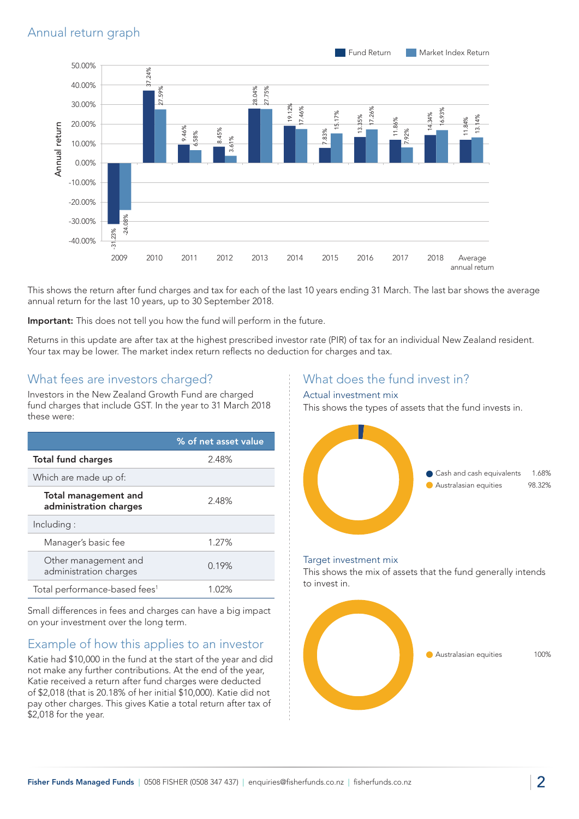

This shows the return after fund charges and tax for each of the last 10 years ending 31 March. The last bar shows the average annual return for the last 10 years, up to 30 September 2018.

Important: This does not tell you how the fund will perform in the future.

Returns in this update are after tax at the highest prescribed investor rate (PIR) of tax for an individual New Zealand resident. Your tax may be lower. The market index return reflects no deduction for charges and tax.

## What fees are investors charged?

Investors in the New Zealand Growth Fund are charged fund charges that include GST. In the year to 31 March 2018 these were:

|                                                | % of net asset value |
|------------------------------------------------|----------------------|
| <b>Total fund charges</b>                      | 2.48%                |
| Which are made up of:                          |                      |
| Total management and<br>administration charges | 2.48%                |
| Including:                                     |                      |
| Manager's basic fee                            | 1.27%                |
| Other management and<br>administration charges | 0.19%                |
| Total performance-based fees <sup>1</sup>      | 1.02%                |

Small differences in fees and charges can have a big impact on your investment over the long term.

## Example of how this applies to an investor

Katie had \$10,000 in the fund at the start of the year and did not make any further contributions. At the end of the year, Katie received a return after fund charges were deducted of \$2,018 (that is 20.18% of her initial \$10,000). Katie did not pay other charges. This gives Katie a total return after tax of \$2,018 for the year.

## What does the fund invest in?

#### Actual investment mix

This shows the types of assets that the fund invests in.



#### Target investment mix

This shows the mix of assets that the fund generally intends to invest in.